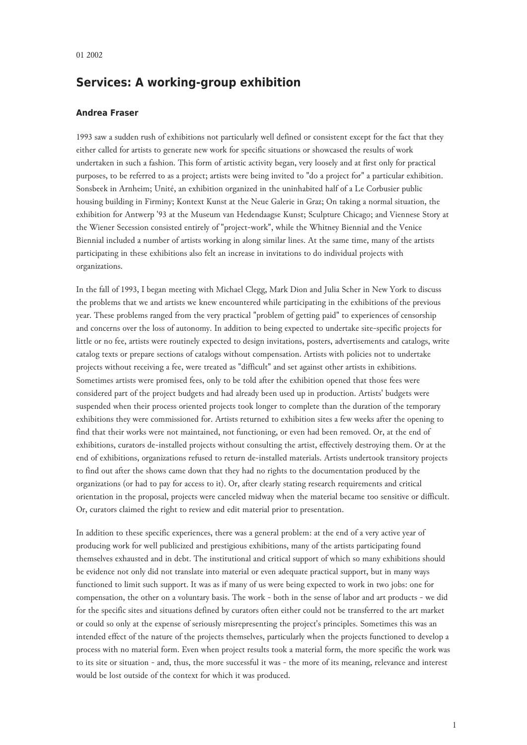## **Services: A working-group exhibition**

## **Andrea Fraser**

1993 saw a sudden rush of exhibitions not particularly well defined or consistent except for the fact that they either called for artists to generate new work for specific situations or showcased the results of work undertaken in such a fashion. This form of artistic activity began, very loosely and at first only for practical purposes, to be referred to as a project; artists were being invited to "do a project for" a particular exhibition. Sonsbeek in Arnheim; Unité, an exhibition organized in the uninhabited half of a Le Corbusier public housing building in Firminy; Kontext Kunst at the Neue Galerie in Graz; On taking a normal situation, the exhibition for Antwerp '93 at the Museum van Hedendaagse Kunst; Sculpture Chicago; and Viennese Story at the Wiener Secession consisted entirely of "project-work", while the Whitney Biennial and the Venice Biennial included a number of artists working in along similar lines. At the same time, many of the artists participating in these exhibitions also felt an increase in invitations to do individual projects with organizations.

In the fall of 1993, I began meeting with Michael Clegg, Mark Dion and Julia Scher in New York to discuss the problems that we and artists we knew encountered while participating in the exhibitions of the previous year. These problems ranged from the very practical "problem of getting paid" to experiences of censorship and concerns over the loss of autonomy. In addition to being expected to undertake site-specific projects for little or no fee, artists were routinely expected to design invitations, posters, advertisements and catalogs, write catalog texts or prepare sections of catalogs without compensation. Artists with policies not to undertake projects without receiving a fee, were treated as "difficult" and set against other artists in exhibitions. Sometimes artists were promised fees, only to be told after the exhibition opened that those fees were considered part of the project budgets and had already been used up in production. Artists' budgets were suspended when their process oriented projects took longer to complete than the duration of the temporary exhibitions they were commissioned for. Artists returned to exhibition sites a few weeks after the opening to find that their works were not maintained, not functioning, or even had been removed. Or, at the end of exhibitions, curators de-installed projects without consulting the artist, effectively destroying them. Or at the end of exhibitions, organizations refused to return de-installed materials. Artists undertook transitory projects to find out after the shows came down that they had no rights to the documentation produced by the organizations (or had to pay for access to it). Or, after clearly stating research requirements and critical orientation in the proposal, projects were canceled midway when the material became too sensitive or difficult. Or, curators claimed the right to review and edit material prior to presentation.

In addition to these specific experiences, there was a general problem: at the end of a very active year of producing work for well publicized and prestigious exhibitions, many of the artists participating found themselves exhausted and in debt. The institutional and critical support of which so many exhibitions should be evidence not only did not translate into material or even adequate practical support, but in many ways functioned to limit such support. It was as if many of us were being expected to work in two jobs: one for compensation, the other on a voluntary basis. The work - both in the sense of labor and art products - we did for the specific sites and situations defined by curators often either could not be transferred to the art market or could so only at the expense of seriously misrepresenting the project's principles. Sometimes this was an intended effect of the nature of the projects themselves, particularly when the projects functioned to develop a process with no material form. Even when project results took a material form, the more specific the work was to its site or situation - and, thus, the more successful it was - the more of its meaning, relevance and interest would be lost outside of the context for which it was produced.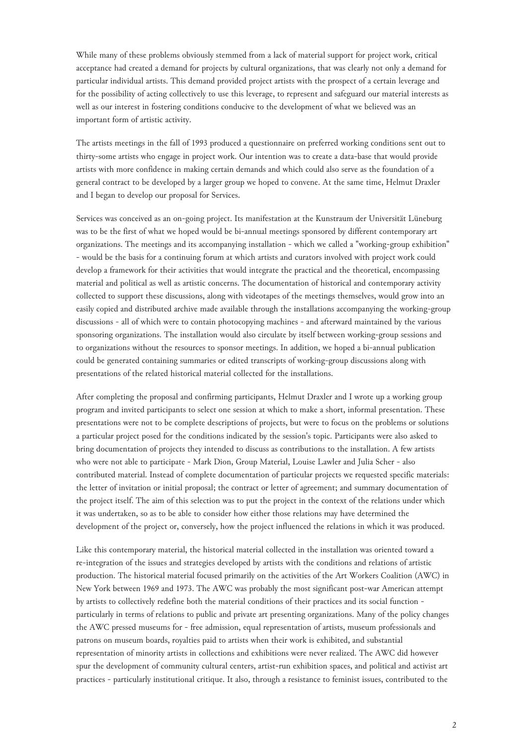While many of these problems obviously stemmed from a lack of material support for project work, critical acceptance had created a demand for projects by cultural organizations, that was clearly not only a demand for particular individual artists. This demand provided project artists with the prospect of a certain leverage and for the possibility of acting collectively to use this leverage, to represent and safeguard our material interests as well as our interest in fostering conditions conducive to the development of what we believed was an important form of artistic activity.

The artists meetings in the fall of 1993 produced a questionnaire on preferred working conditions sent out to thirty-some artists who engage in project work. Our intention was to create a data-base that would provide artists with more confidence in making certain demands and which could also serve as the foundation of a general contract to be developed by a larger group we hoped to convene. At the same time, Helmut Draxler and I began to develop our proposal for Services.

Services was conceived as an on-going project. Its manifestation at the Kunstraum der Universität Lüneburg was to be the first of what we hoped would be bi-annual meetings sponsored by different contemporary art organizations. The meetings and its accompanying installation - which we called a "working-group exhibition" - would be the basis for a continuing forum at which artists and curators involved with project work could develop a framework for their activities that would integrate the practical and the theoretical, encompassing material and political as well as artistic concerns. The documentation of historical and contemporary activity collected to support these discussions, along with videotapes of the meetings themselves, would grow into an easily copied and distributed archive made available through the installations accompanying the working-group discussions - all of which were to contain photocopying machines - and afterward maintained by the various sponsoring organizations. The installation would also circulate by itself between working-group sessions and to organizations without the resources to sponsor meetings. In addition, we hoped a bi-annual publication could be generated containing summaries or edited transcripts of working-group discussions along with presentations of the related historical material collected for the installations.

After completing the proposal and confirming participants, Helmut Draxler and I wrote up a working group program and invited participants to select one session at which to make a short, informal presentation. These presentations were not to be complete descriptions of projects, but were to focus on the problems or solutions a particular project posed for the conditions indicated by the session's topic. Participants were also asked to bring documentation of projects they intended to discuss as contributions to the installation. A few artists who were not able to participate - Mark Dion, Group Material, Louise Lawler and Julia Scher - also contributed material. Instead of complete documentation of particular projects we requested specific materials: the letter of invitation or initial proposal; the contract or letter of agreement; and summary documentation of the project itself. The aim of this selection was to put the project in the context of the relations under which it was undertaken, so as to be able to consider how either those relations may have determined the development of the project or, conversely, how the project influenced the relations in which it was produced.

Like this contemporary material, the historical material collected in the installation was oriented toward a re-integration of the issues and strategies developed by artists with the conditions and relations of artistic production. The historical material focused primarily on the activities of the Art Workers Coalition (AWC) in New York between 1969 and 1973. The AWC was probably the most significant post-war American attempt by artists to collectively redefine both the material conditions of their practices and its social function particularly in terms of relations to public and private art presenting organizations. Many of the policy changes the AWC pressed museums for - free admission, equal representation of artists, museum professionals and patrons on museum boards, royalties paid to artists when their work is exhibited, and substantial representation of minority artists in collections and exhibitions were never realized. The AWC did however spur the development of community cultural centers, artist-run exhibition spaces, and political and activist art practices - particularly institutional critique. It also, through a resistance to feminist issues, contributed to the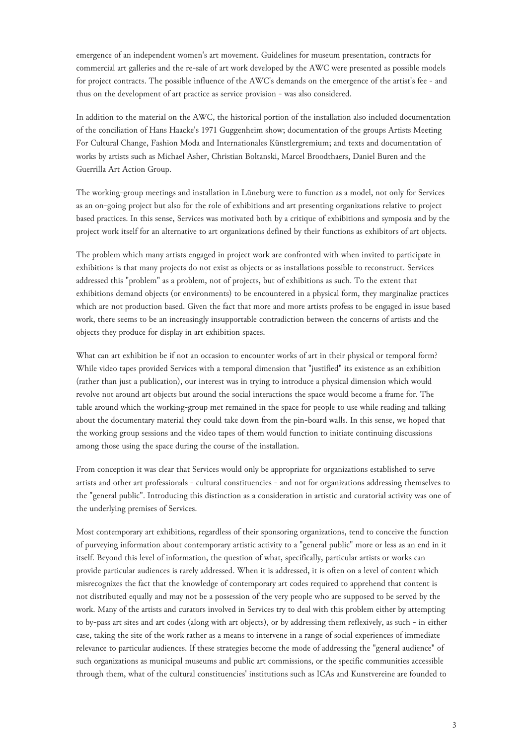emergence of an independent women's art movement. Guidelines for museum presentation, contracts for commercial art galleries and the re-sale of art work developed by the AWC were presented as possible models for project contracts. The possible influence of the AWC's demands on the emergence of the artist's fee - and thus on the development of art practice as service provision - was also considered.

In addition to the material on the AWC, the historical portion of the installation also included documentation of the conciliation of Hans Haacke's 1971 Guggenheim show; documentation of the groups Artists Meeting For Cultural Change, Fashion Moda and Internationales Künstlergremium; and texts and documentation of works by artists such as Michael Asher, Christian Boltanski, Marcel Broodthaers, Daniel Buren and the Guerrilla Art Action Group.

The working-group meetings and installation in Lüneburg were to function as a model, not only for Services as an on-going project but also for the role of exhibitions and art presenting organizations relative to project based practices. In this sense, Services was motivated both by a critique of exhibitions and symposia and by the project work itself for an alternative to art organizations defined by their functions as exhibitors of art objects.

The problem which many artists engaged in project work are confronted with when invited to participate in exhibitions is that many projects do not exist as objects or as installations possible to reconstruct. Services addressed this "problem" as a problem, not of projects, but of exhibitions as such. To the extent that exhibitions demand objects (or environments) to be encountered in a physical form, they marginalize practices which are not production based. Given the fact that more and more artists profess to be engaged in issue based work, there seems to be an increasingly insupportable contradiction between the concerns of artists and the objects they produce for display in art exhibition spaces.

What can art exhibition be if not an occasion to encounter works of art in their physical or temporal form? While video tapes provided Services with a temporal dimension that "justified" its existence as an exhibition (rather than just a publication), our interest was in trying to introduce a physical dimension which would revolve not around art objects but around the social interactions the space would become a frame for. The table around which the working-group met remained in the space for people to use while reading and talking about the documentary material they could take down from the pin-board walls. In this sense, we hoped that the working group sessions and the video tapes of them would function to initiate continuing discussions among those using the space during the course of the installation.

From conception it was clear that Services would only be appropriate for organizations established to serve artists and other art professionals - cultural constituencies - and not for organizations addressing themselves to the "general public". Introducing this distinction as a consideration in artistic and curatorial activity was one of the underlying premises of Services.

Most contemporary art exhibitions, regardless of their sponsoring organizations, tend to conceive the function of purveying information about contemporary artistic activity to a "general public" more or less as an end in it itself. Beyond this level of information, the question of what, specifically, particular artists or works can provide particular audiences is rarely addressed. When it is addressed, it is often on a level of content which misrecognizes the fact that the knowledge of contemporary art codes required to apprehend that content is not distributed equally and may not be a possession of the very people who are supposed to be served by the work. Many of the artists and curators involved in Services try to deal with this problem either by attempting to by-pass art sites and art codes (along with art objects), or by addressing them reflexively, as such - in either case, taking the site of the work rather as a means to intervene in a range of social experiences of immediate relevance to particular audiences. If these strategies become the mode of addressing the "general audience" of such organizations as municipal museums and public art commissions, or the specific communities accessible through them, what of the cultural constituencies' institutions such as ICAs and Kunstvereine are founded to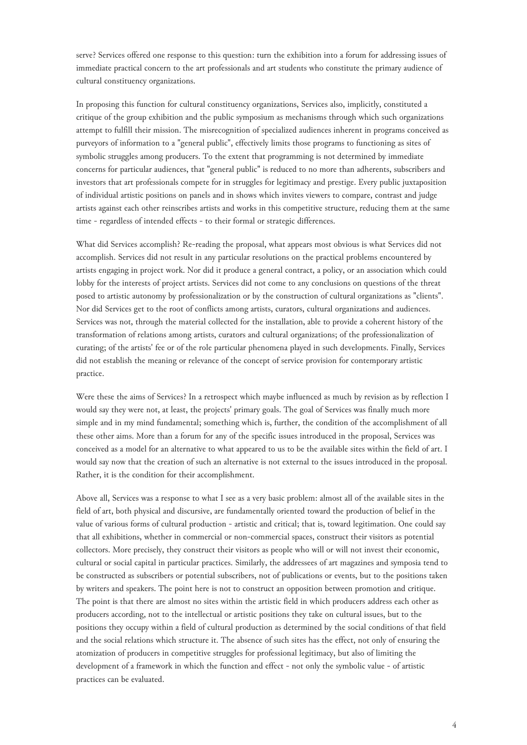serve? Services offered one response to this question: turn the exhibition into a forum for addressing issues of immediate practical concern to the art professionals and art students who constitute the primary audience of cultural constituency organizations.

In proposing this function for cultural constituency organizations, Services also, implicitly, constituted a critique of the group exhibition and the public symposium as mechanisms through which such organizations attempt to fulfill their mission. The misrecognition of specialized audiences inherent in programs conceived as purveyors of information to a "general public", effectively limits those programs to functioning as sites of symbolic struggles among producers. To the extent that programming is not determined by immediate concerns for particular audiences, that "general public" is reduced to no more than adherents, subscribers and investors that art professionals compete for in struggles for legitimacy and prestige. Every public juxtaposition of individual artistic positions on panels and in shows which invites viewers to compare, contrast and judge artists against each other reinscribes artists and works in this competitive structure, reducing them at the same time - regardless of intended effects - to their formal or strategic differences.

What did Services accomplish? Re-reading the proposal, what appears most obvious is what Services did not accomplish. Services did not result in any particular resolutions on the practical problems encountered by artists engaging in project work. Nor did it produce a general contract, a policy, or an association which could lobby for the interests of project artists. Services did not come to any conclusions on questions of the threat posed to artistic autonomy by professionalization or by the construction of cultural organizations as "clients". Nor did Services get to the root of conflicts among artists, curators, cultural organizations and audiences. Services was not, through the material collected for the installation, able to provide a coherent history of the transformation of relations among artists, curators and cultural organizations; of the professionalization of curating; of the artists' fee or of the role particular phenomena played in such developments. Finally, Services did not establish the meaning or relevance of the concept of service provision for contemporary artistic practice.

Were these the aims of Services? In a retrospect which maybe influenced as much by revision as by reflection I would say they were not, at least, the projects' primary goals. The goal of Services was finally much more simple and in my mind fundamental; something which is, further, the condition of the accomplishment of all these other aims. More than a forum for any of the specific issues introduced in the proposal, Services was conceived as a model for an alternative to what appeared to us to be the available sites within the field of art. I would say now that the creation of such an alternative is not external to the issues introduced in the proposal. Rather, it is the condition for their accomplishment.

Above all, Services was a response to what I see as a very basic problem: almost all of the available sites in the field of art, both physical and discursive, are fundamentally oriented toward the production of belief in the value of various forms of cultural production - artistic and critical; that is, toward legitimation. One could say that all exhibitions, whether in commercial or non-commercial spaces, construct their visitors as potential collectors. More precisely, they construct their visitors as people who will or will not invest their economic, cultural or social capital in particular practices. Similarly, the addressees of art magazines and symposia tend to be constructed as subscribers or potential subscribers, not of publications or events, but to the positions taken by writers and speakers. The point here is not to construct an opposition between promotion and critique. The point is that there are almost no sites within the artistic field in which producers address each other as producers according, not to the intellectual or artistic positions they take on cultural issues, but to the positions they occupy within a field of cultural production as determined by the social conditions of that field and the social relations which structure it. The absence of such sites has the effect, not only of ensuring the atomization of producers in competitive struggles for professional legitimacy, but also of limiting the development of a framework in which the function and effect - not only the symbolic value - of artistic practices can be evaluated.